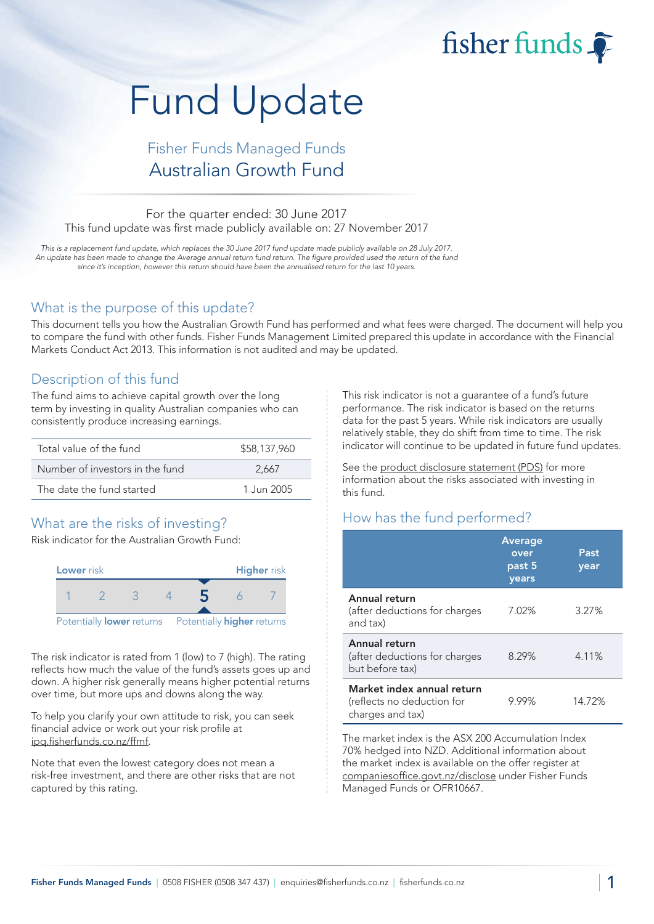# Fund Update

## Fisher Funds Managed Funds Australian Growth Fund

#### For the quarter ended: 30 June 2017 This fund update was first made publicly available on: 27 November 2017

This is a replacement fund update, which replaces the 30 June 2017 fund update made publicly available on 28 July 2017. An update has been made to change the Average annual return fund return. The figure provided used the return of the fund since it's inception, however this return should have been the annualised return for the last 10 years.

#### What is the purpose of this update?

This document tells you how the Australian Growth Fund has performed and what fees were charged. The document will help you to compare the fund with other funds. Fisher Funds Management Limited prepared this update in accordance with the Financial Markets Conduct Act 2013. This information is not audited and may be updated.

## Description of this fund

The fund aims to achieve capital growth over the long term by investing in quality Australian companies who can consistently produce increasing earnings.

| Total value of the fund         | \$58,137,960 |
|---------------------------------|--------------|
| Number of investors in the fund | 2.667        |
| The date the fund started       | 1.Jun 2005   |

## What are the risks of investing?

Risk indicator for the Australian Growth Fund:



The risk indicator is rated from 1 (low) to 7 (high). The rating reflects how much the value of the fund's assets goes up and down. A higher risk generally means higher potential returns over time, but more ups and downs along the way.

To help you clarify your own attitude to risk, you can seek financial advice or work out your risk profile at [ipq.fisherfunds.co.nz/ffmf.](https://ipq.fisherfunds.co.nz/ffmf)

Note that even the lowest category does not mean a risk-free investment, and there are other risks that are not captured by this rating.

This risk indicator is not a guarantee of a fund's future performance. The risk indicator is based on the returns data for the past 5 years. While risk indicators are usually relatively stable, they do shift from time to time. The risk indicator will continue to be updated in future fund updates.

fisher funds

See the [product disclosure statement \(PDS\)](https://fisherfunds.co.nz/assets/PDS/Fisher-Funds-Managed-Funds-PDS.pdf) for more information about the risks associated with investing in this fund.

## How has the fund performed?

|                                                                              | <b>Average</b><br>over<br>past 5<br>years | Past<br>year |
|------------------------------------------------------------------------------|-------------------------------------------|--------------|
| Annual return<br>(after deductions for charges<br>and tax)                   | 7.02%                                     | 3.27%        |
| Annual return<br>(after deductions for charges<br>but before tax)            | 8.29%                                     | 4.11%        |
| Market index annual return<br>(reflects no deduction for<br>charges and tax) | 9.99%                                     | 14.72%       |

The market index is the ASX 200 Accumulation Index 70% hedged into NZD. Additional information about the market index is available on the offer register at [companiesoffice.govt.nz/disclose](http://companiesoffice.govt.nz/disclose) under Fisher Funds Managed Funds or OFR10667.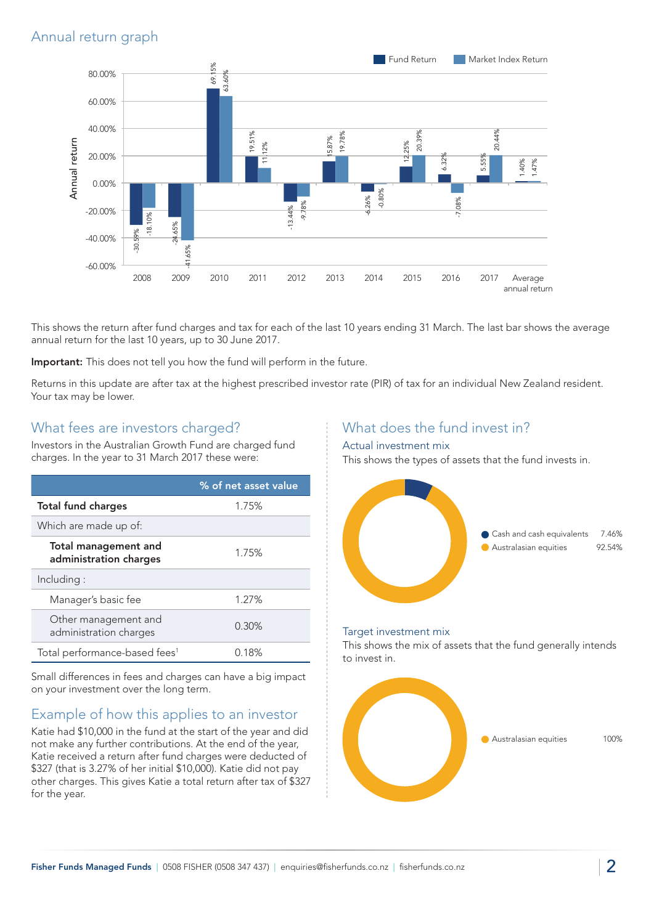## Annual return graph



This shows the return after fund charges and tax for each of the last 10 years ending 31 March. The last bar shows the average annual return for the last 10 years, up to 30 June 2017.

Important: This does not tell you how the fund will perform in the future.

Returns in this update are after tax at the highest prescribed investor rate (PIR) of tax for an individual New Zealand resident. Your tax may be lower.

#### What fees are investors charged?

Investors in the Australian Growth Fund are charged fund charges. In the year to 31 March 2017 these were:

|                                                       | % of net asset value |
|-------------------------------------------------------|----------------------|
| <b>Total fund charges</b>                             | 1.75%                |
| Which are made up of:                                 |                      |
| <b>Total management and</b><br>administration charges | 1.75%                |
| Including:                                            |                      |
| Manager's basic fee                                   | 1.27%                |
| Other management and<br>administration charges        | 0.30%                |
| Total performance-based fees <sup>1</sup>             | 0.18%                |

Small differences in fees and charges can have a big impact on your investment over the long term.

## Example of how this applies to an investor

Katie had \$10,000 in the fund at the start of the year and did not make any further contributions. At the end of the year, Katie received a return after fund charges were deducted of \$327 (that is 3.27% of her initial \$10,000). Katie did not pay other charges. This gives Katie a total return after tax of \$327 for the year.

## What does the fund invest in?

#### Actual investment mix

This shows the types of assets that the fund invests in.



#### Target investment mix

This shows the mix of assets that the fund generally intends to invest in.